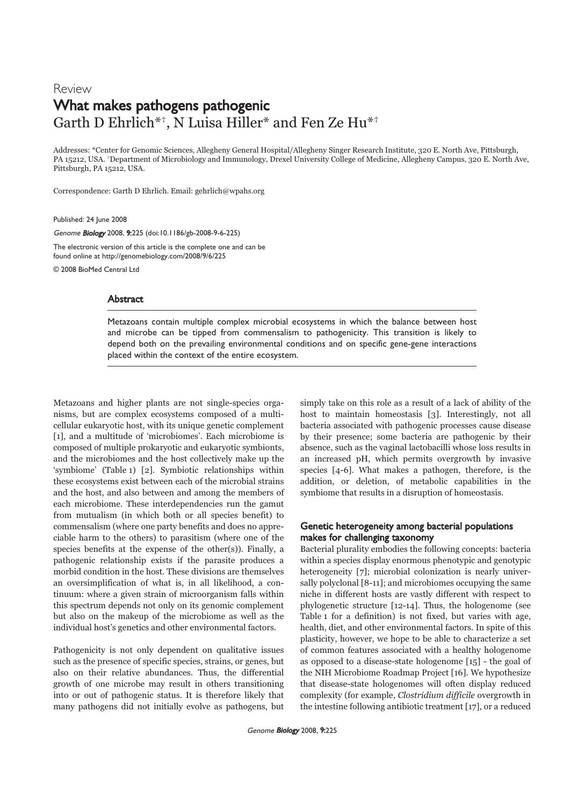# Review What makes pathogens pathogenic Garth D Ehrlich\*†, N Luisa Hiller\* and Fen Ze Hu\*†

Addresses: \*Center for Genomic Sciences, Allegheny General Hospital/Allegheny Singer Research Institute, 320 E. North Ave, Pittsburgh, PA 15212, USA. †Department of Microbiology and Immunology, Drexel University College of Medicine, Allegheny Campus, 320 E. North Ave, Pittsburgh, PA 15212, USA.

Correspondence: Garth D Ehrlich. Email: gehrlich@wpahs.org

Published: 24 June 2008

Genome **Biology** 2008, 9:225 (doi:10.1186/gb-2008-9-6-225)

The electronic version of this article is the complete one and can be found online at http://genomebiology.com/2008/9/6/225

© 2008 BioMed Central Ltd

## Abstract

Metazoans contain multiple complex microbial ecosystems in which the balance between host and microbe can be tipped from commensalism to pathogenicity. This transition is likely to depend both on the prevailing environmental conditions and on specific gene-gene interactions placed within the context of the entire ecosystem.

Metazoans and higher plants are not single-species organisms, but are complex ecosystems composed of a multicellular eukaryotic host, with its unique genetic complement [1], and a multitude of 'microbiomes'. Each microbiome is composed of multiple prokaryotic and eukaryotic symbionts, and the microbiomes and the host collectively make up the 'symbiome' (Table 1) [2]. Symbiotic relationships within these ecosystems exist between each of the microbial strains and the host, and also between and among the members of each microbiome. These interdependencies run the gamut from mutualism (in which both or all species benefit) to commensalism (where one party benefits and does no appreciable harm to the others) to parasitism (where one of the species benefits at the expense of the other(s)). Finally, a pathogenic relationship exists if the parasite produces a morbid condition in the host. These divisions are themselves an oversimplification of what is, in all likelihood, a continuum: where a given strain of microorganism falls within this spectrum depends not only on its genomic complement but also on the makeup of the microbiome as well as the individual host's genetics and other environmental factors.

Pathogenicity is not only dependent on qualitative issues such as the presence of specific species, strains, or genes, but also on their relative abundances. Thus, the differential growth of one microbe may result in others transitioning into or out of pathogenic status. It is therefore likely that many pathogens did not initially evolve as pathogens, but simply take on this role as a result of a lack of ability of the host to maintain homeostasis [3]. Interestingly, not all bacteria associated with pathogenic processes cause disease by their presence; some bacteria are pathogenic by their absence, such as the vaginal lactobacilli whose loss results in an increased pH, which permits overgrowth by invasive species [4-6]. What makes a pathogen, therefore, is the addition, or deletion, of metabolic capabilities in the symbiome that results in a disruption of homeostasis.

# Genetic heterogeneity among bacterial populations makes for challenging taxonomy

Bacterial plurality embodies the following concepts: bacteria within a species display enormous phenotypic and genotypic heterogeneity [7]; microbial colonization is nearly universally polyclonal [8-11]; and microbiomes occupying the same niche in different hosts are vastly different with respect to phylogenetic structure [12-14]. Thus, the hologenome (see Table 1 for a definition) is not fixed, but varies with age, health, diet, and other environmental factors. In spite of this plasticity, however, we hope to be able to characterize a set of common features associated with a healthy hologenome as opposed to a disease-state hologenome [15] - the goal of the NIH Microbiome Roadmap Project [16]. We hypothesize that disease-state hologenomes will often display reduced complexity (for example, Clostridium difficile overgrowth in the intestine following antibiotic treatment [17], or a reduced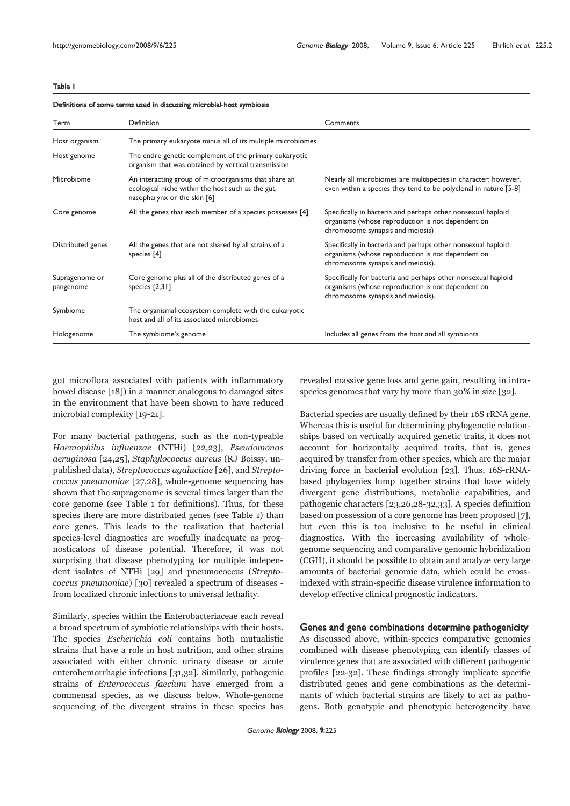#### Table 1

| Term                        | Definition                                                                                                                               | Comments                                                                                                                                                |
|-----------------------------|------------------------------------------------------------------------------------------------------------------------------------------|---------------------------------------------------------------------------------------------------------------------------------------------------------|
| Host organism               | The primary eukaryote minus all of its multiple microbiomes                                                                              |                                                                                                                                                         |
| Host genome                 | The entire genetic complement of the primary eukaryotic<br>organism that was obtained by vertical transmission                           |                                                                                                                                                         |
| Microbiome                  | An interacting group of microorganisms that share an<br>ecological niche within the host such as the gut,<br>nasopharynx or the skin [6] | Nearly all microbiomes are multispecies in character; however,<br>even within a species they tend to be polyclonal in nature [5-8]                      |
| Core genome                 | All the genes that each member of a species possesses [4]                                                                                | Specifically in bacteria and perhaps other nonsexual haploid<br>organisms (whose reproduction is not dependent on<br>chromosome synapsis and meiosis)   |
| Distributed genes           | All the genes that are not shared by all strains of a<br>species [4]                                                                     | Specifically in bacteria and perhaps other nonsexual haploid<br>organisms (whose reproduction is not dependent on<br>chromosome synapsis and meiosis).  |
| Supragenome or<br>pangenome | Core genome plus all of the distributed genes of a<br>species [2,31]                                                                     | Specifically for bacteria and perhaps other nonsexual haploid<br>organisms (whose reproduction is not dependent on<br>chromosome synapsis and meiosis). |
| Symbiome                    | The organismal ecosystem complete with the eukaryotic<br>host and all of its associated microbiomes                                      |                                                                                                                                                         |
| Hologenome                  | The symbiome's genome                                                                                                                    | Includes all genes from the host and all symbionts                                                                                                      |

## Definitions of some terms used in discussing microbial-host symbiosis

gut microflora associated with patients with inflammatory bowel disease [18]) in a manner analogous to damaged sites in the environment that have been shown to have reduced microbial complexity [19-21].

For many bacterial pathogens, such as the non-typeable Haemophilus influenzae (NTHi) [22,23], Pseudomonas aeruginosa [24,25], Staphylococcus aureus (RJ Boissy, unpublished data), Streptococcus agalactiae [26], and Streptococcus pneumoniae [27,28], whole-genome sequencing has shown that the supragenome is several times larger than the core genome (see Table 1 for definitions). Thus, for these species there are more distributed genes (see Table 1) than core genes. This leads to the realization that bacterial species-level diagnostics are woefully inadequate as prognosticators of disease potential. Therefore, it was not surprising that disease phenotyping for multiple independent isolates of NTHi [29] and pneumococcus (Streptococcus pneumoniae) [30] revealed a spectrum of diseases from localized chronic infections to universal lethality.

Similarly, species within the Enterobacteriaceae each reveal a broad spectrum of symbiotic relationships with their hosts. The species Escherichia coli contains both mutualistic strains that have a role in host nutrition, and other strains associated with either chronic urinary disease or acute enterohemorrhagic infections [31,32]. Similarly, pathogenic strains of Enterococcus faecium have emerged from a commensal species, as we discuss below. Whole-genome sequencing of the divergent strains in these species has

revealed massive gene loss and gene gain, resulting in intraspecies genomes that vary by more than 30% in size [32].

Bacterial species are usually defined by their 16S rRNA gene. Whereas this is useful for determining phylogenetic relationships based on vertically acquired genetic traits, it does not account for horizontally acquired traits, that is, genes acquired by transfer from other species, which are the major driving force in bacterial evolution [23]. Thus, 16S-rRNAbased phylogenies lump together strains that have widely divergent gene distributions, metabolic capabilities, and pathogenic characters [23,26,28-32,33]. A species definition based on possession of a core genome has been proposed [7], but even this is too inclusive to be useful in clinical diagnostics. With the increasing availability of wholegenome sequencing and comparative genomic hybridization (CGH), it should be possible to obtain and analyze very large amounts of bacterial genomic data, which could be crossindexed with strain-specific disease virulence information to develop effective clinical prognostic indicators.

#### Genes and gene combinations determine pathogenicity

As discussed above, within-species comparative genomics combined with disease phenotyping can identify classes of virulence genes that are associated with different pathogenic profiles [22-32]. These findings strongly implicate specific distributed genes and gene combinations as the determinants of which bacterial strains are likely to act as pathogens. Both genotypic and phenotypic heterogeneity have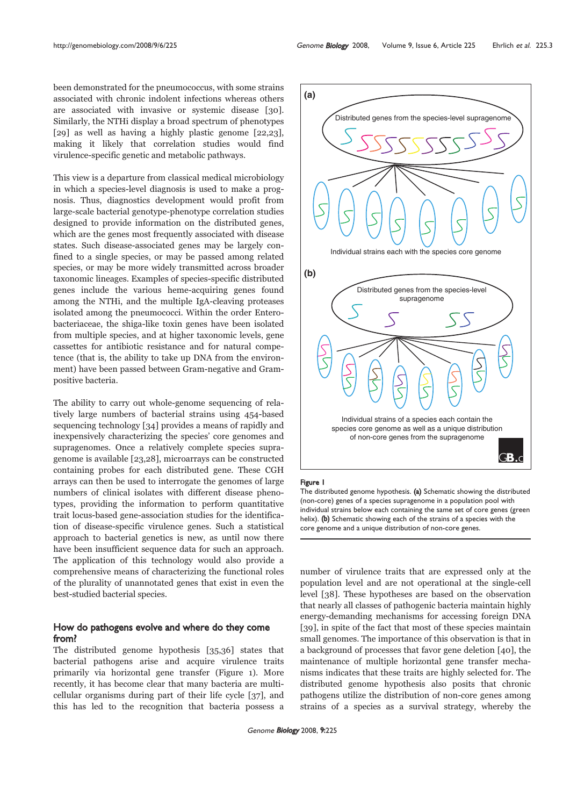been demonstrated for the pneumococcus, with some strains associated with chronic indolent infections whereas others are associated with invasive or systemic disease [30]. Similarly, the NTHi display a broad spectrum of phenotypes [29] as well as having a highly plastic genome [22,23], making it likely that correlation studies would find virulence-specific genetic and metabolic pathways.

This view is a departure from classical medical microbiology in which a species-level diagnosis is used to make a prognosis. Thus, diagnostics development would profit from large-scale bacterial genotype-phenotype correlation studies designed to provide information on the distributed genes, which are the genes most frequently associated with disease states. Such disease-associated genes may be largely confined to a single species, or may be passed among related species, or may be more widely transmitted across broader taxonomic lineages. Examples of species-specific distributed genes include the various heme-acquiring genes found among the NTHi, and the multiple IgA-cleaving proteases isolated among the pneumococci. Within the order Enterobacteriaceae, the shiga-like toxin genes have been isolated from multiple species, and at higher taxonomic levels, gene cassettes for antibiotic resistance and for natural competence (that is, the ability to take up DNA from the environment) have been passed between Gram-negative and Grampositive bacteria.

The ability to carry out whole-genome sequencing of relatively large numbers of bacterial strains using 454-based sequencing technology [34] provides a means of rapidly and inexpensively characterizing the species' core genomes and supragenomes. Once a relatively complete species supragenome is available [23,28], microarrays can be constructed containing probes for each distributed gene. These CGH arrays can then be used to interrogate the genomes of large numbers of clinical isolates with different disease phenotypes, providing the information to perform quantitative trait locus-based gene-association studies for the identification of disease-specific virulence genes. Such a statistical approach to bacterial genetics is new, as until now there have been insufficient sequence data for such an approach. The application of this technology would also provide a comprehensive means of characterizing the functional roles of the plurality of unannotated genes that exist in even the best-studied bacterial species.

# How do pathogens evolve and where do they come from?

The distributed genome hypothesis [35,36] states that bacterial pathogens arise and acquire virulence traits primarily via horizontal gene transfer (Figure 1). More recently, it has become clear that many bacteria are multicellular organisms during part of their life cycle [37], and this has led to the recognition that bacteria possess a



#### Figure 1

The distributed genome hypothesis. (a) Schematic showing the distributed (non-core) genes of a species supragenome in a population pool with individual strains below each containing the same set of core genes (green helix). (b) Schematic showing each of the strains of a species with the core genome and a unique distribution of non-core genes.

number of virulence traits that are expressed only at the population level and are not operational at the single-cell level [38]. These hypotheses are based on the observation that nearly all classes of pathogenic bacteria maintain highly energy-demanding mechanisms for accessing foreign DNA [39], in spite of the fact that most of these species maintain small genomes. The importance of this observation is that in a background of processes that favor gene deletion [40], the maintenance of multiple horizontal gene transfer mechanisms indicates that these traits are highly selected for. The distributed genome hypothesis also posits that chronic pathogens utilize the distribution of non-core genes among strains of a species as a survival strategy, whereby the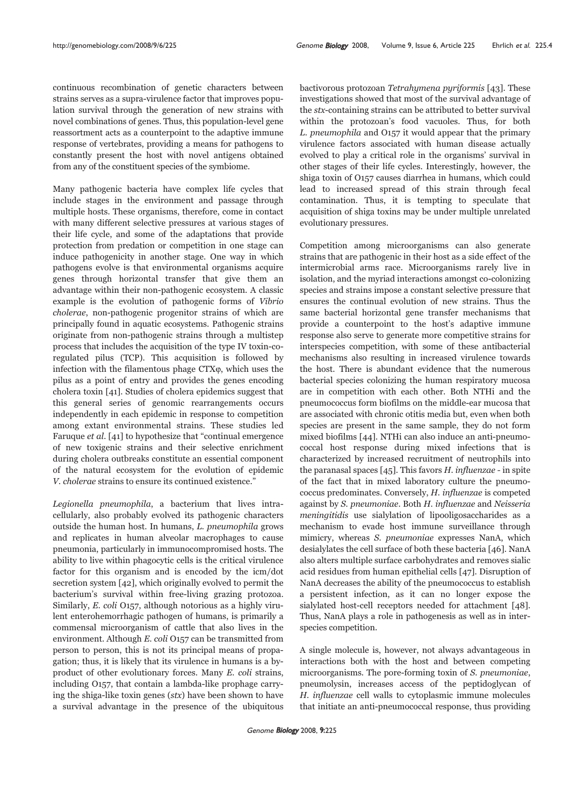continuous recombination of genetic characters between strains serves as a supra-virulence factor that improves population survival through the generation of new strains with novel combinations of genes. Thus, this population-level gene reassortment acts as a counterpoint to the adaptive immune response of vertebrates, providing a means for pathogens to constantly present the host with novel antigens obtained from any of the constituent species of the symbiome.

Many pathogenic bacteria have complex life cycles that include stages in the environment and passage through multiple hosts. These organisms, therefore, come in contact with many different selective pressures at various stages of their life cycle, and some of the adaptations that provide protection from predation or competition in one stage can induce pathogenicity in another stage. One way in which pathogens evolve is that environmental organisms acquire genes through horizontal transfer that give them an advantage within their non-pathogenic ecosystem. A classic example is the evolution of pathogenic forms of Vibrio cholerae, non-pathogenic progenitor strains of which are principally found in aquatic ecosystems. Pathogenic strains originate from non-pathogenic strains through a multistep process that includes the acquisition of the type IV toxin-coregulated pilus (TCP). This acquisition is followed by infection with the filamentous phage  $CTX\varphi$ , which uses the pilus as a point of entry and provides the genes encoding cholera toxin [41]. Studies of cholera epidemics suggest that this general series of genomic rearrangements occurs independently in each epidemic in response to competition among extant environmental strains. These studies led Faruque et al. [41] to hypothesize that "continual emergence of new toxigenic strains and their selective enrichment during cholera outbreaks constitute an essential component of the natural ecosystem for the evolution of epidemic V. cholerae strains to ensure its continued existence."

Legionella pneumophila, a bacterium that lives intracellularly, also probably evolved its pathogenic characters outside the human host. In humans, L. pneumophila grows and replicates in human alveolar macrophages to cause pneumonia, particularly in immunocompromised hosts. The ability to live within phagocytic cells is the critical virulence factor for this organism and is encoded by the icm/dot secretion system [42], which originally evolved to permit the bacterium's survival within free-living grazing protozoa. Similarly, E. coli O157, although notorious as a highly virulent enterohemorrhagic pathogen of humans, is primarily a commensal microorganism of cattle that also lives in the environment. Although E. coli O157 can be transmitted from person to person, this is not its principal means of propagation; thus, it is likely that its virulence in humans is a byproduct of other evolutionary forces. Many E. coli strains, including O157, that contain a lambda-like prophage carrying the shiga-like toxin genes  $(stx)$  have been shown to have a survival advantage in the presence of the ubiquitous

bactivorous protozoan Tetrahymena pyriformis [43]. These investigations showed that most of the survival advantage of the stx-containing strains can be attributed to better survival within the protozoan's food vacuoles. Thus, for both L. pneumophila and O157 it would appear that the primary virulence factors associated with human disease actually evolved to play a critical role in the organisms' survival in other stages of their life cycles. Interestingly, however, the shiga toxin of O157 causes diarrhea in humans, which could lead to increased spread of this strain through fecal contamination. Thus, it is tempting to speculate that acquisition of shiga toxins may be under multiple unrelated evolutionary pressures.

Competition among microorganisms can also generate strains that are pathogenic in their host as a side effect of the intermicrobial arms race. Microorganisms rarely live in isolation, and the myriad interactions amongst co-colonizing species and strains impose a constant selective pressure that ensures the continual evolution of new strains. Thus the same bacterial horizontal gene transfer mechanisms that provide a counterpoint to the host's adaptive immune response also serve to generate more competitive strains for interspecies competition, with some of these antibacterial mechanisms also resulting in increased virulence towards the host. There is abundant evidence that the numerous bacterial species colonizing the human respiratory mucosa are in competition with each other. Both NTHi and the pneumococcus form biofilms on the middle-ear mucosa that are associated with chronic otitis media but, even when both species are present in the same sample, they do not form mixed biofilms [44]. NTHi can also induce an anti-pneumococcal host response during mixed infections that is characterized by increased recruitment of neutrophils into the paranasal spaces [45]. This favors  $H$ . *influenzae* - in spite of the fact that in mixed laboratory culture the pneumococcus predominates. Conversely, H. influenzae is competed against by S. pneumoniae. Both H. influenzae and Neisseria meningitidis use sialylation of lipooligosaccharides as a mechanism to evade host immune surveillance through mimicry, whereas S. pneumoniae expresses NanA, which desialylates the cell surface of both these bacteria [46]. NanA also alters multiple surface carbohydrates and removes sialic acid residues from human epithelial cells [47]. Disruption of NanA decreases the ability of the pneumococcus to establish a persistent infection, as it can no longer expose the sialylated host-cell receptors needed for attachment [48]. Thus, NanA plays a role in pathogenesis as well as in interspecies competition.

A single molecule is, however, not always advantageous in interactions both with the host and between competing microorganisms. The pore-forming toxin of S. pneumoniae, pneumolysin, increases access of the peptidoglycan of H. influenzae cell walls to cytoplasmic immune molecules that initiate an anti-pneumococcal response, thus providing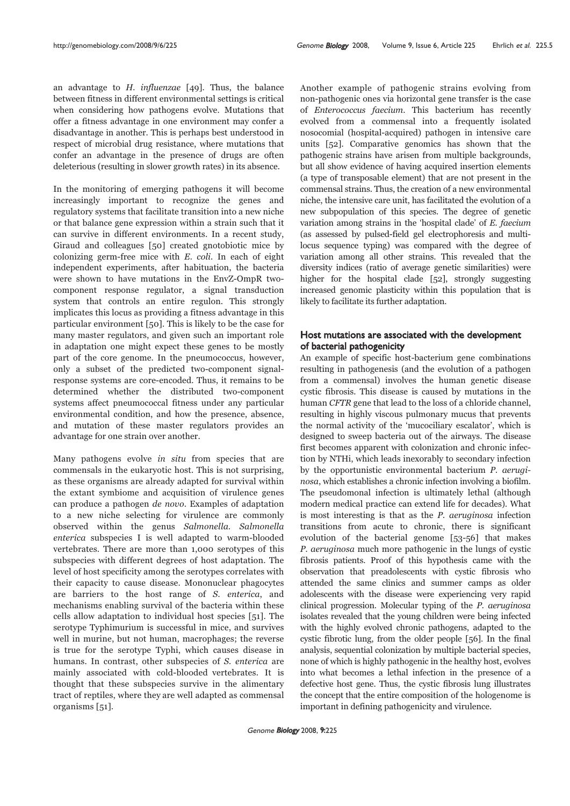an advantage to  $H$ . influenzae [49]. Thus, the balance between fitness in different environmental settings is critical when considering how pathogens evolve. Mutations that offer a fitness advantage in one environment may confer a disadvantage in another. This is perhaps best understood in respect of microbial drug resistance, where mutations that confer an advantage in the presence of drugs are often deleterious (resulting in slower growth rates) in its absence.

In the monitoring of emerging pathogens it will become increasingly important to recognize the genes and regulatory systems that facilitate transition into a new niche or that balance gene expression within a strain such that it can survive in different environments. In a recent study, Giraud and colleagues [50] created gnotobiotic mice by colonizing germ-free mice with E. coli. In each of eight independent experiments, after habituation, the bacteria were shown to have mutations in the EnvZ-OmpR twocomponent response regulator, a signal transduction system that controls an entire regulon. This strongly implicates this locus as providing a fitness advantage in this particular environment [50]. This is likely to be the case for many master regulators, and given such an important role in adaptation one might expect these genes to be mostly part of the core genome. In the pneumococcus, however, only a subset of the predicted two-component signalresponse systems are core-encoded. Thus, it remains to be determined whether the distributed two-component systems affect pneumococcal fitness under any particular environmental condition, and how the presence, absence, and mutation of these master regulators provides an advantage for one strain over another.

Many pathogens evolve in situ from species that are commensals in the eukaryotic host. This is not surprising, as these organisms are already adapted for survival within the extant symbiome and acquisition of virulence genes can produce a pathogen de novo. Examples of adaptation to a new niche selecting for virulence are commonly observed within the genus Salmonella. Salmonella enterica subspecies I is well adapted to warm-blooded vertebrates. There are more than 1,000 serotypes of this subspecies with different degrees of host adaptation. The level of host specificity among the serotypes correlates with their capacity to cause disease. Mononuclear phagocytes are barriers to the host range of S. enterica, and mechanisms enabling survival of the bacteria within these cells allow adaptation to individual host species [51]. The serotype Typhimurium is successful in mice, and survives well in murine, but not human, macrophages; the reverse is true for the serotype Typhi, which causes disease in humans. In contrast, other subspecies of S. enterica are mainly associated with cold-blooded vertebrates. It is thought that these subspecies survive in the alimentary tract of reptiles, where they are well adapted as commensal organisms [51].

Another example of pathogenic strains evolving from non-pathogenic ones via horizontal gene transfer is the case of Enterococcus faecium. This bacterium has recently evolved from a commensal into a frequently isolated nosocomial (hospital-acquired) pathogen in intensive care units [52]. Comparative genomics has shown that the pathogenic strains have arisen from multiple backgrounds, but all show evidence of having acquired insertion elements (a type of transposable element) that are not present in the commensal strains. Thus, the creation of a new environmental niche, the intensive care unit, has facilitated the evolution of a new subpopulation of this species. The degree of genetic variation among strains in the 'hospital clade' of E. faecium (as assessed by pulsed-field gel electrophoresis and multilocus sequence typing) was compared with the degree of variation among all other strains. This revealed that the diversity indices (ratio of average genetic similarities) were higher for the hospital clade [52], strongly suggesting increased genomic plasticity within this population that is likely to facilitate its further adaptation.

# Host mutations are associated with the development of bacterial pathogenicity

An example of specific host-bacterium gene combinations resulting in pathogenesis (and the evolution of a pathogen from a commensal) involves the human genetic disease cystic fibrosis. This disease is caused by mutations in the human CFTR gene that lead to the loss of a chloride channel, resulting in highly viscous pulmonary mucus that prevents the normal activity of the 'mucociliary escalator', which is designed to sweep bacteria out of the airways. The disease first becomes apparent with colonization and chronic infection by NTHi, which leads inexorably to secondary infection by the opportunistic environmental bacterium P. aeruginosa, which establishes a chronic infection involving a biofilm. The pseudomonal infection is ultimately lethal (although modern medical practice can extend life for decades). What is most interesting is that as the P. aeruginosa infection transitions from acute to chronic, there is significant evolution of the bacterial genome [53-56] that makes P. aeruginosa much more pathogenic in the lungs of cystic fibrosis patients. Proof of this hypothesis came with the observation that preadolescents with cystic fibrosis who attended the same clinics and summer camps as older adolescents with the disease were experiencing very rapid clinical progression. Molecular typing of the P. aeruginosa isolates revealed that the young children were being infected with the highly evolved chronic pathogens, adapted to the cystic fibrotic lung, from the older people [56]. In the final analysis, sequential colonization by multiple bacterial species, none of which is highly pathogenic in the healthy host, evolves into what becomes a lethal infection in the presence of a defective host gene. Thus, the cystic fibrosis lung illustrates the concept that the entire composition of the hologenome is important in defining pathogenicity and virulence.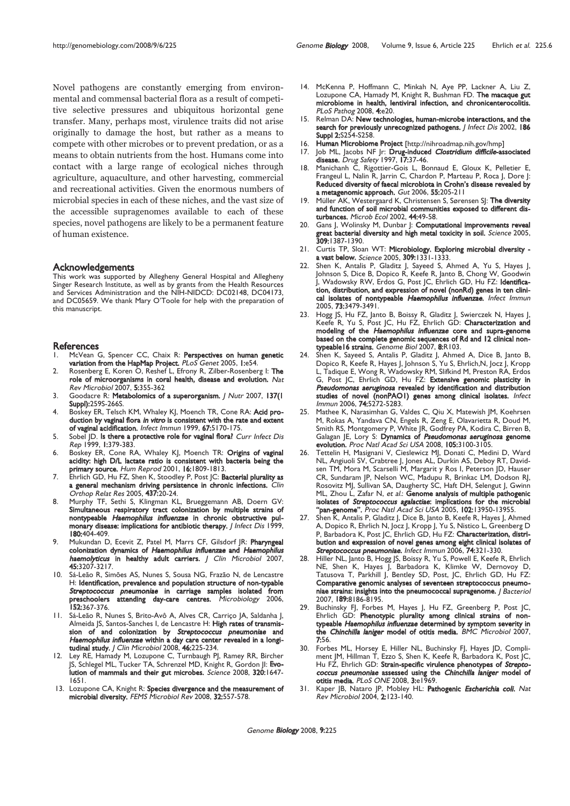Novel pathogens are constantly emerging from environmental and commensal bacterial flora as a result of competitive selective pressures and ubiquitous horizontal gene transfer. Many, perhaps most, virulence traits did not arise originally to damage the host, but rather as a means to compete with other microbes or to prevent predation, or as a means to obtain nutrients from the host. Humans come into contact with a large range of ecological niches through agriculture, aquaculture, and other harvesting, commercial and recreational activities. Given the enormous numbers of microbial species in each of these niches, and the vast size of the accessible supragenomes available to each of these species, novel pathogens are likely to be a permanent feature of human existence.

#### Acknowledgements

This work was supported by Allegheny General Hospital and Allegheny Singer Research Institute, as well as by grants from the Health Resources and Services Administration and the NIH-NIDCD: DC02148, DC04173, and DC05659. We thank Mary O'Toole for help with the preparation of this manuscript.

#### **References**

- McVean G, Spencer CC, Chaix R: Perspectives on human genetic **variation from the HapMap Project.** PLoS Genet 2005, 1:e54.
- 2. Rosenberg E, Koren O, Reshef L, Efrony R, Zilber-Rosenberg I: **The** role of microorganisms in coral health, disease and evolution. Nat Rev Microbiol 2007, 5:355-362
- 3. Goodacre R: Metabolomics of a superorganism. J Nutr 2007, 137(1) Suppl):259S-266S.
- 4. Boskey ER, Telsch KM, Whaley KJ, Moench TR, Cone RA: **Acid pro**duction by vaginal flora in vitro is consistent with the rate and extent of vaginal acidification. Infect Immun 1999, 67:5170-175.
- 5. Sobel JD. Is there a protective role for vaginal flora? Curr Infect Dis Rep 1999, 1:379-383.
- 6. Boskey ER, Cone RA, Whaley KJ, Moench TR: Origins of vaginal acidity: high D/L lactate ratio is consistent with bacteria being the **primary source.** Hum Reprod 2001, **16:**1809-1813.
- 7. Ehrlich GD, Hu FZ, Shen K, Stoodley P, Post JC: **Bacterial plurality as** a general mechanism driving persistence in chronic infections. Clin Orthop Relat Res 2005, 437:20-24.
- 8. Murphy TF, Sethi S, Klingman KL, Brueggemann AB, Doern GV: Simultaneous respiratory tract colonization by multiple strains of nontypeable Haemophilus influenzae in chronic obstructive pulmonary disease: implications for antibiotic therapy. J Infect Dis 1999, 180:404-409.
- 9. Mukundan D, Ecevit Z, Patel M, Marrs CF, Gilsdorf JR: Pharyngeal colonization dynamics of Haemophilus influenzae and Haemophilus haemolyticus in healthy adult carriers. J Clin Microbiol 2007, 45:3207-3217.
- 10. Sá-Leão R, Simões AS, Nunes S, Sousa NG, Frazão N, de Lencastre H: Identification, prevalence and population structure of non-typable Streptococcus pneumoniae in carriage samples isolated from preschoolers attending day-care centres. Microbiology 2006, 152:367-376.
- 11. Sá-Leão R, Nunes S, Brito-Avô A, Alves CR, Carriço JA, Saldanha J, Almeida JS, Santos-Sanches I, de Lencastre H: High rates of transmission of and colonization by Streptococcus pneumoniae and Haemophilus influenzae within a day care center revealed in a longitudinal study. J Clin Microbiol 2008, 46:225-234.
- 12. Ley RE, Hamady M, Lozupone C, Turnbaugh PJ, Ramey RR, Bircher JS, Schlegel ML, Tucker TA, Schrenzel MD, Knight R, Gordon JI: Evolution of mammals and their gut microbes. Science 2008, 320:1647- 1651.
- 13. Lozupone CA, Knight R: Species divergence and the measurement of microbial diversity. FEMS Microbiol Rev 2008, 32:557-578.
- 14. McKenna P, Hoffmann C, Minkah N, Aye PP, Lackner A, Liu Z, Lozupone CA, Hamady M, Knight R, Bushman FD. The macaque gut microbiome in health, lentiviral infection, and chronicenterocolitis. PLoS Pathog 2008, 4:e20.
- 15. Relman DA: New technologies, human-microbe interactions, and the search for previously unrecognized pathogens. *J Infect Dis* 2002, 186 Suppl 2:S254-S258.
- 16. Human Microbiome Project [http://nihroadmap.nih.gov/hmp]
- 17. Job ML, Jacobs NF Jr: Drug-induced Clostridium difficile-associated disease. Drug Safety 1997, 17:37-46.
- 18. Manichanh C, Rigottier-Gois L, Bonnaud E, Gloux K, Pelletier E, Frangeul L, Nalin R, Jarrin C, Chardon P, Marteau P, Roca J, Dore J: Reduced diversity of faecal microbiota in Crohn's disease revealed by a metagenomic approach. Gut 2006, 55:205-211
- 19. Müller AK, Westergaard K, Christensen S, Sørensen SJ: The diversity and function of soil microbial communities exposed to different disturbances. Microb Ecol 2002, 44:49-58.
- 20. Gans J, Wolinsky M, Dunbar J: Computational improvements reveal great bacterial diversity and high metal toxicity in soil. Science 2005, 309:1387-1390.
- 21. Curtis TP, Sloan WT: Microbiology. Exploring microbial diversity **a vast below.** *Science* 2005, **309:**1331-1333.
- 22. Shen K, Antalis P, Gladitz J, Sayeed S, Ahmed A, Yu S, Hayes J, Johnson S, Dice B, Dopico R, Keefe R, Janto B, Chong W, Goodwin J, Wadowsky RW, Erdos G, Post JC, Ehrlich GD, Hu FZ: Identification, distribution, and expression of novel (nonRd) genes in ten clinical isolates of nontypeable Haemophilus influenzae. Infect Immun 2005, 73:3479-3491.
- 23. Hogg JS, Hu FZ, Janto B, Boissy R, Gladitz J, Swierczek N, Hayes J, Keefe R, Yu S, Post JC, Hu FZ, Ehrlich GD: Characterization and modeling of the Haemophilus influenzae core and supra-genome based on the complete genomic sequences of Rd and 12 clinical nontypeable16 strains. Genome Biol 2007, 8:R103.
- 24. Shen K, Sayeed S, Antalis P, Gladitz J, Ahmed A, Dice B, Janto B, Dopico R, Keefe R, Hayes J, Johnson S, Yu S, Ehrlich,N, Jocz J, Kropp L, Tadique E, Wong R, Wadowsky RM, Slifkind M, Preston RA, Erdos G, Post JC, Ehrlich GD, Hu FZ: Extensive genomic plasticity in Pseudomonas aeruginosa revealed by identification and distribution studies of novel (nonPAO1) genes among clinical isolates. Infect Immun 2006, 74:5272-5283.
- 25. Mathee K, Narasimhan G, Valdes C, Qiu X, Matewish JM, Koehrsen M, Rokas A, Yandava CN, Engels R, Zeng E, Olavarietta R, Doud M, Smith RS, Montgomery P, White JR, Godfrey PA, Kodira C, Birren B, Galagan JE, Lory S: Dynamics of Pseudomonas aeruginosa genome evolution. Proc Natl Acad Sci USA 2008, 105:3100-3105.
- 26. Tettelin H, Masignani V, Cieslewicz MJ, Donati C, Medini D, Ward NL, Angiuoli SV, Crabtree J, Jones AL, Durkin AS, Deboy RT, Davidsen TM, Mora M, Scarselli M, Margarit y Ros I, Peterson JD, Hauser CR, Sundaram JP, Nelson WC, Madupu R, Brinkac LM, Dodson RJ, Rosovitz MJ, Sullivan SA, Daugherty SC, Haft DH, Selengut J, Gwinn ML, Zhou L, Zafar N, et al.: Genome analysis of multiple pathogenic isolates of Streptococcus agalactiae: implications for the microbial "pan-genome". Proc Natl Acad Sci USA 2005, 102:13950-13955
- 27. Shen K, Antalis P, Gladitz J, Dice B, Janto B, Keefe R, Hayes J, Ahmed A, Dopico R, Ehrlich N, Jocz J, Kropp J, Yu S, Nistico L, Greenberg D P, Barbadora K, Post JC, Ehrlich GD, Hu FZ: Characterization, distribution and expression of novel genes among eight clinical isolates of Streptococcus pneumoniae. Infect Immun 2006, 74:321-330.
- 28. Hiller NL, Janto B, Hogg JS, Boissy R, Yu S, Powell E, Keefe R, Ehrlich NE, Shen K, Hayes J, Barbadora K, Klimke W, Dernovoy D, Tatusova T, Parkhill J, Bentley SD, Post, JC, Ehrlich GD, Hu FZ: Comparative genomic analyses of seventeen streptococcus pneumoniae strains: insights into the pneumococcal supragenome. *| Bacteriol* 2007, 189:8186-8195.
- 29. Buchinsky FJ, Forbes M, Hayes J, Hu FZ, Greenberg P, Post JC, Ehrlich GD: Phenotypic plurality among clinical strains of nontypeable Haemophilus influenzae determined by symptom severity in the Chinchilla laniger model of otitis media. BMC Microbiol 2007, 7:56.
- 30. Forbes ML, Horsey E, Hiller NL, Buchinsky FJ, Hayes JD, Compliment JM, Hillman T, Ezzo S, Shen K, Keefe R, Barbadora K, Post JC, Hu FZ, Ehrlich GD: Strain-specific virulence phenotypes of Streptococcus pneumoniae assessed using the Chinchilla laniger model of otitis media. PLoS ONE 2008, 3:e1969.
- 31. Kaper JB, Nataro JP, Mobley HL: Pathogenic Escherichia coli. Nat Rev Microbiol 2004, 2:123-140.